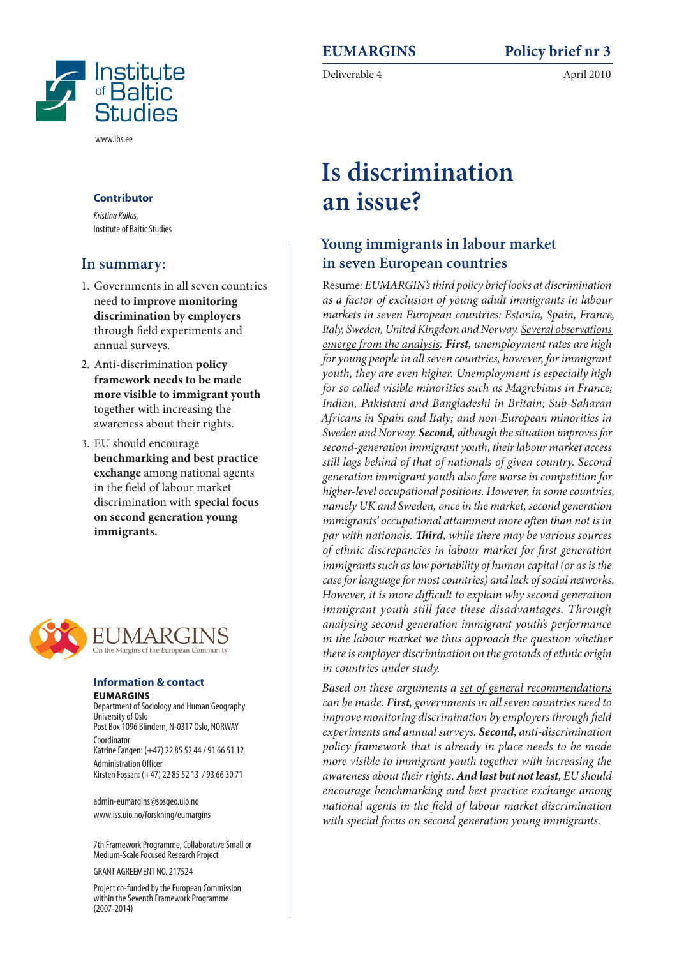

# **Is discrimination an issue?**

# **Young immigrants in labour market in seven European countries**

Resume*: EUMARGIN's third policy brief looks at discrimination as a factor of exclusion of young adult immigrants in labour markets in seven European countries: Estonia, Spain, France, Italy, Sweden, United Kingdom and Norway. Several observations emerge from the analysis. First, unemployment rates are high for young people in all seven countries, however, for immigrant youth, they are even higher. Unemployment is especially high for so called visible minorities such as Magrebians in France; Indian, Pakistani and Bangladeshi in Britain; Sub-Saharan Africans in Spain and Italy; and non-European minorities in Sweden and Norway. Second, although the situation improves for second-generation immigrant youth, their labour market access still lags behind of that of nationals of given country. Second generation immigrant youth also fare worse in competition for higher-level occupational positions. However, in some countries, namely UK and Sweden, once in the market, second generation immigrants' occupational attainment more often than not is in par with nationals. Third, while there may be various sources of ethnic discrepancies in labour market for first generation immigrants such as low portability of human capital (or as is the case for language for most countries) and lack of social networks. However, it is more difficult to explain why second generation immigrant youth still face these disadvantages. Through analysing second generation immigrant youth's performance in the labour market we thus approach the question whether there is employer discrimination on the grounds of ethnic origin in countries under study.*

*Based on these arguments a set of general recommendations can be made. First, governments in all seven countries need to improve monitoring discrimination by employers through field experiments and annual surveys. Second, anti-discrimination policy framework that is already in place needs to be made more visible to immigrant youth together with increasing the awareness about their rights. And last but not least, EU should encourage benchmarking and best practice exchange among national agents in the field of labour market discrimination with special focus on second generation young immigrants.*

#### **Contributor**

*Kristina Kallas,*  Institute of Baltic Studies

#### **In summary:**

- 1. Governments in all seven countries need to **improve monitoring discrimination by employers** through field experiments and annual surveys.
- 2. Anti-discrimination **policy framework needs to be made more visible to immigrant youth** together with increasing the awareness about their rights.
- 3. EU should encourage **benchmarking and best practice exchange** among national agents in the field of labour market discrimination with **special focus on second generation young immigrants.**



#### **Information & contact EUMARGINS**

Department of Sociology and Human Geography University of Oslo Post Box 1096 Blindern, N-0317 Oslo, NORWAY Coordinator Katrine Fangen: (+47) 22 85 52 44 / 91 66 51 12 Administration Officer Kirsten Fossan: (+47) 22 85 52 13 / 93 66 30 71

admin-eumargins@sosgeo.uio.no www.iss.uio.no/forskning/eumargins

7th Framework Programme, Collaborative Small or Medium-Scale Focused Research Project

GRANT AGREEMENT NO. 217524

Project co-funded by the European Commission within the Seventh Framework Programme (2007-2014)



www.ibs.ee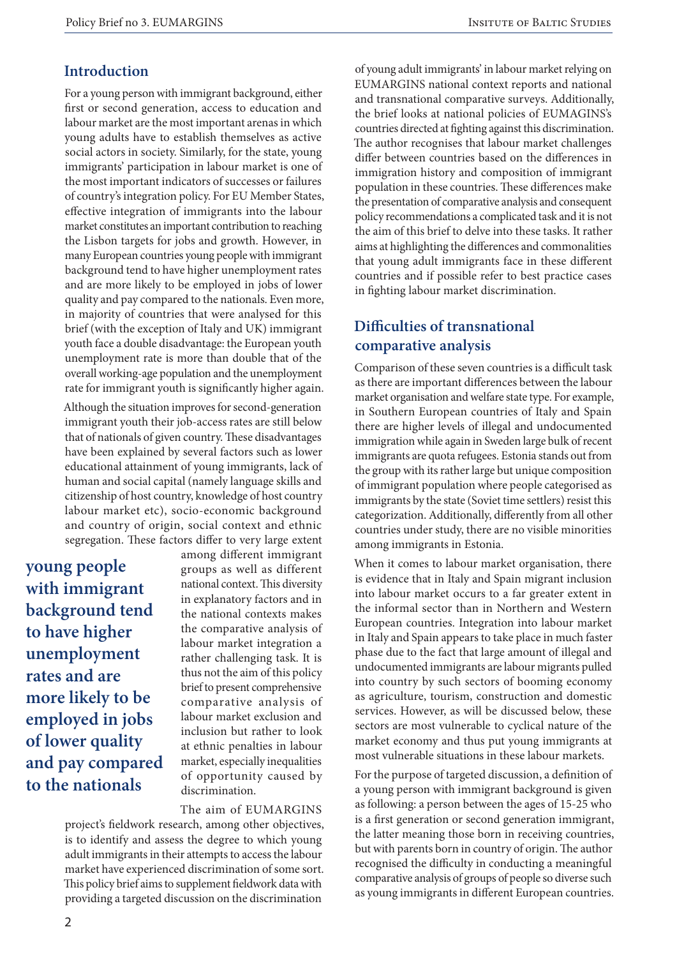#### **Introduction**

For a young person with immigrant background, either first or second generation, access to education and labour market are the most important arenas in which young adults have to establish themselves as active social actors in society. Similarly, for the state, young immigrants' participation in labour market is one of the most important indicators of successes or failures of country's integration policy. For EU Member States, effective integration of immigrants into the labour market constitutes an important contribution to reaching the Lisbon targets for jobs and growth. However, in many European countries young people with immigrant background tend to have higher unemployment rates and are more likely to be employed in jobs of lower quality and pay compared to the nationals. Even more, in majority of countries that were analysed for this brief (with the exception of Italy and UK) immigrant youth face a double disadvantage: the European youth unemployment rate is more than double that of the overall working-age population and the unemployment rate for immigrant youth is significantly higher again.

Although the situation improves for second-generation immigrant youth their job-access rates are still below that of nationals of given country. These disadvantages have been explained by several factors such as lower educational attainment of young immigrants, lack of human and social capital (namely language skills and citizenship of host country, knowledge of host country labour market etc), socio-economic background and country of origin, social context and ethnic segregation. These factors differ to very large extent

**young people with immigrant background tend to have higher unemployment rates and are more likely to be employed in jobs of lower quality and pay compared to the nationals**

among different immigrant groups as well as different national context. This diversity in explanatory factors and in the national contexts makes the comparative analysis of labour market integration a rather challenging task. It is thus not the aim of this policy brief to present comprehensive comparative analysis of labour market exclusion and inclusion but rather to look at ethnic penalties in labour market, especially inequalities of opportunity caused by discrimination.

The aim of EUMARGINS

project's fieldwork research, among other objectives, is to identify and assess the degree to which young adult immigrants in their attempts to access the labour market have experienced discrimination of some sort. This policy brief aims to supplement fieldwork data with providing a targeted discussion on the discrimination

of young adult immigrants' in labour market relying on EUMARGINS national context reports and national and transnational comparative surveys. Additionally, the brief looks at national policies of EUMAGINS's countries directed at fighting against this discrimination. The author recognises that labour market challenges differ between countries based on the differences in immigration history and composition of immigrant population in these countries. These differences make the presentation of comparative analysis and consequent policy recommendations a complicated task and it is not the aim of this brief to delve into these tasks. It rather aims at highlighting the differences and commonalities that young adult immigrants face in these different countries and if possible refer to best practice cases in fighting labour market discrimination.

# **Difficulties of transnational comparative analysis**

Comparison of these seven countries is a difficult task as there are important differences between the labour market organisation and welfare state type. For example, in Southern European countries of Italy and Spain there are higher levels of illegal and undocumented immigration while again in Sweden large bulk of recent immigrants are quota refugees. Estonia stands out from the group with its rather large but unique composition of immigrant population where people categorised as immigrants by the state (Soviet time settlers) resist this categorization. Additionally, differently from all other countries under study, there are no visible minorities among immigrants in Estonia.

When it comes to labour market organisation, there is evidence that in Italy and Spain migrant inclusion into labour market occurs to a far greater extent in the informal sector than in Northern and Western European countries. Integration into labour market in Italy and Spain appears to take place in much faster phase due to the fact that large amount of illegal and undocumented immigrants are labour migrants pulled into country by such sectors of booming economy as agriculture, tourism, construction and domestic services. However, as will be discussed below, these sectors are most vulnerable to cyclical nature of the market economy and thus put young immigrants at most vulnerable situations in these labour markets.

For the purpose of targeted discussion, a definition of a young person with immigrant background is given as following: a person between the ages of 15-25 who is a first generation or second generation immigrant, the latter meaning those born in receiving countries, but with parents born in country of origin. The author recognised the difficulty in conducting a meaningful comparative analysis of groups of people so diverse such as young immigrants in different European countries.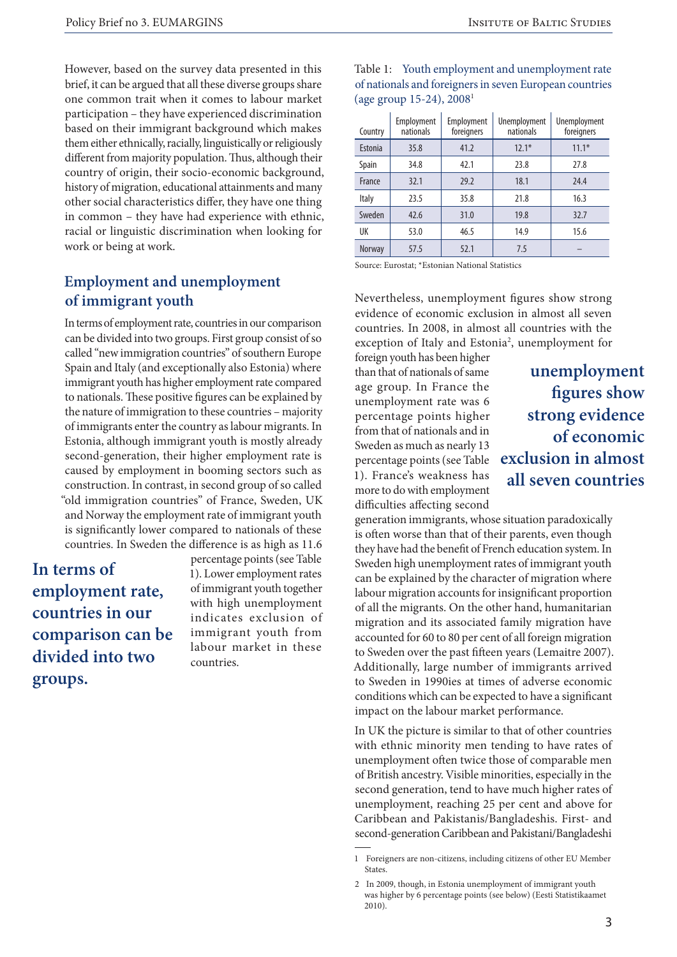However, based on the survey data presented in this brief, it can be argued that all these diverse groups share one common trait when it comes to labour market participation – they have experienced discrimination based on their immigrant background which makes them either ethnically, racially, linguistically or religiously different from majority population. Thus, although their country of origin, their socio-economic background, history of migration, educational attainments and many other social characteristics differ, they have one thing in common – they have had experience with ethnic, racial or linguistic discrimination when looking for work or being at work.

# **Employment and unemployment of immigrant youth**

In terms of employment rate, countries in our comparison can be divided into two groups. First group consist of so called "new immigration countries" of southern Europe Spain and Italy (and exceptionally also Estonia) where immigrant youth has higher employment rate compared to nationals. These positive figures can be explained by the nature of immigration to these countries – majority of immigrants enter the country as labour migrants. In Estonia, although immigrant youth is mostly already second-generation, their higher employment rate is caused by employment in booming sectors such as construction. In contrast, in second group of so called "old immigration countries" of France, Sweden, UK and Norway the employment rate of immigrant youth is significantly lower compared to nationals of these countries. In Sweden the difference is as high as 11.6

**In terms of employment rate, countries in our comparison can be divided into two groups.**

percentage points (see Table 1). Lower employment rates of immigrant youth together with high unemployment indicates exclusion of immigrant youth from labour market in these countries.

| Country       | Employment<br>nationals | Employment<br>foreigners | Unemployment<br>nationals | Unemployment<br>foreigners |
|---------------|-------------------------|--------------------------|---------------------------|----------------------------|
| Estonia       | 35.8                    | 41.2                     | $12.1*$                   | $11.1*$                    |
| Spain         | 34.8                    | 42.1                     | 23.8                      | 27.8                       |
| France        | 32.1                    | 29.2                     | 18.1                      | 24.4                       |
| Italy         | 23.5                    | 35.8                     | 21.8                      | 16.3                       |
| Sweden        | 42.6                    | 31.0                     | 19.8                      | 32.7                       |
| UK            | 53.0                    | 46.5                     | 14.9                      | 15.6                       |
| <b>Norway</b> | 57.5                    | 52.1                     | 7.5                       |                            |

Table 1: Youth employment and unemployment rate of nationals and foreigners in seven European countries (age group 15-24), 20081

Source: Eurostat; \*Estonian National Statistics

Nevertheless, unemployment figures show strong evidence of economic exclusion in almost all seven countries. In 2008, in almost all countries with the exception of Italy and Estonia<sup>2</sup>, unemployment for

foreign youth has been higher than that of nationals of same age group. In France the unemployment rate was 6 percentage points higher from that of nationals and in Sweden as much as nearly 13 percentage points (see Table 1). France's weakness has more to do with employment difficulties affecting second

**unemployment figures show strong evidence of economic exclusion in almost all seven countries**

generation immigrants, whose situation paradoxically is often worse than that of their parents, even though they have had the benefit of French education system. In Sweden high unemployment rates of immigrant youth can be explained by the character of migration where labour migration accounts for insignificant proportion of all the migrants. On the other hand, humanitarian migration and its associated family migration have accounted for 60 to 80 per cent of all foreign migration to Sweden over the past fifteen years (Lemaitre 2007). Additionally, large number of immigrants arrived to Sweden in 1990ies at times of adverse economic conditions which can be expected to have a significant impact on the labour market performance.

In UK the picture is similar to that of other countries with ethnic minority men tending to have rates of unemployment often twice those of comparable men of British ancestry. Visible minorities, especially in the second generation, tend to have much higher rates of unemployment, reaching 25 per cent and above for Caribbean and Pakistanis/Bangladeshis. First- and second-generation Caribbean and Pakistani/Bangladeshi

<sup>1</sup> Foreigners are non-citizens, including citizens of other EU Member States.

<sup>2</sup> In 2009, though, in Estonia unemployment of immigrant youth was higher by 6 percentage points (see below) (Eesti Statistikaamet 2010).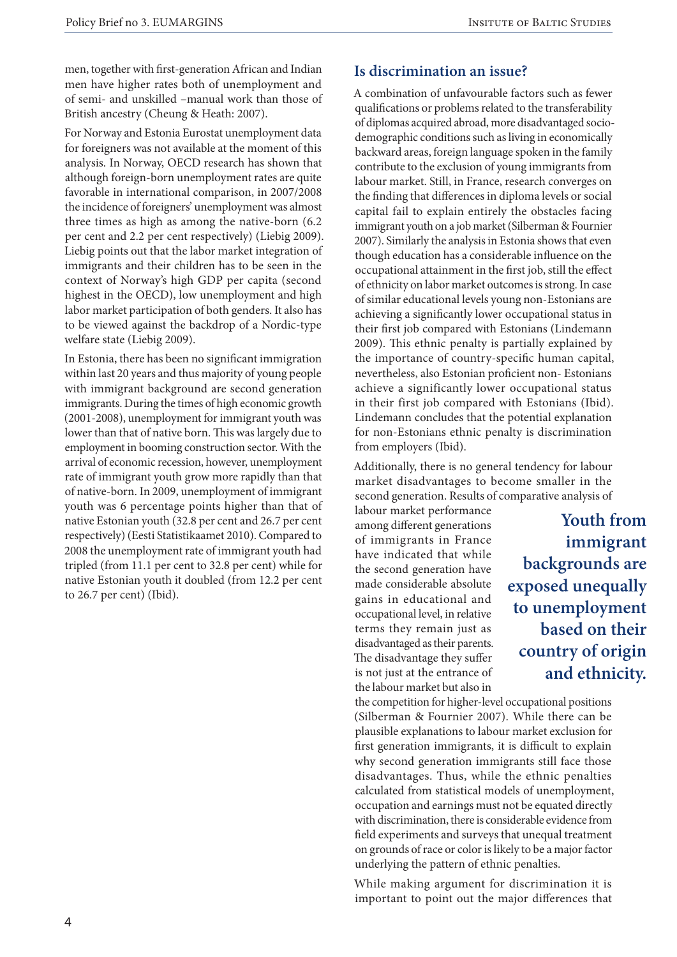men, together with first-generation African and Indian men have higher rates both of unemployment and of semi- and unskilled –manual work than those of British ancestry (Cheung & Heath: 2007).

For Norway and Estonia Eurostat unemployment data for foreigners was not available at the moment of this analysis. In Norway, OECD research has shown that although foreign-born unemployment rates are quite favorable in international comparison, in 2007/2008 the incidence of foreigners' unemployment was almost three times as high as among the native-born (6.2 per cent and 2.2 per cent respectively) (Liebig 2009). Liebig points out that the labor market integration of immigrants and their children has to be seen in the context of Norway's high GDP per capita (second highest in the OECD), low unemployment and high labor market participation of both genders. It also has to be viewed against the backdrop of a Nordic-type welfare state (Liebig 2009).

In Estonia, there has been no significant immigration within last 20 years and thus majority of young people with immigrant background are second generation immigrants. During the times of high economic growth (2001-2008), unemployment for immigrant youth was lower than that of native born. This was largely due to employment in booming construction sector. With the arrival of economic recession, however, unemployment rate of immigrant youth grow more rapidly than that of native-born. In 2009, unemployment of immigrant youth was 6 percentage points higher than that of native Estonian youth (32.8 per cent and 26.7 per cent respectively) (Eesti Statistikaamet 2010). Compared to 2008 the unemployment rate of immigrant youth had tripled (from 11.1 per cent to 32.8 per cent) while for native Estonian youth it doubled (from 12.2 per cent to 26.7 per cent) (Ibid).

#### **Is discrimination an issue?**

A combination of unfavourable factors such as fewer qualifications or problems related to the transferability of diplomas acquired abroad, more disadvantaged sociodemographic conditions such as living in economically backward areas, foreign language spoken in the family contribute to the exclusion of young immigrants from labour market. Still, in France, research converges on the finding that differences in diploma levels or social capital fail to explain entirely the obstacles facing immigrant youth on a job market (Silberman & Fournier 2007). Similarly the analysis in Estonia shows that even though education has a considerable influence on the occupational attainment in the first job, still the effect of ethnicity on labor market outcomes is strong. In case of similar educational levels young non-Estonians are achieving a significantly lower occupational status in their first job compared with Estonians (Lindemann 2009). This ethnic penalty is partially explained by the importance of country-specific human capital, nevertheless, also Estonian proficient non- Estonians achieve a significantly lower occupational status in their first job compared with Estonians (Ibid). Lindemann concludes that the potential explanation for non-Estonians ethnic penalty is discrimination from employers (Ibid).

Additionally, there is no general tendency for labour market disadvantages to become smaller in the second generation. Results of comparative analysis of

labour market performance among different generations of immigrants in France have indicated that while the second generation have made considerable absolute gains in educational and occupational level, in relative terms they remain just as disadvantaged as their parents. The disadvantage they suffer is not just at the entrance of the labour market but also in

**Youth from immigrant backgrounds are exposed unequally to unemployment based on their country of origin and ethnicity.**

the competition for higher-level occupational positions (Silberman & Fournier 2007). While there can be plausible explanations to labour market exclusion for first generation immigrants, it is difficult to explain why second generation immigrants still face those disadvantages. Thus, while the ethnic penalties calculated from statistical models of unemployment, occupation and earnings must not be equated directly with discrimination, there is considerable evidence from field experiments and surveys that unequal treatment on grounds of race or color is likely to be a major factor underlying the pattern of ethnic penalties.

While making argument for discrimination it is important to point out the major differences that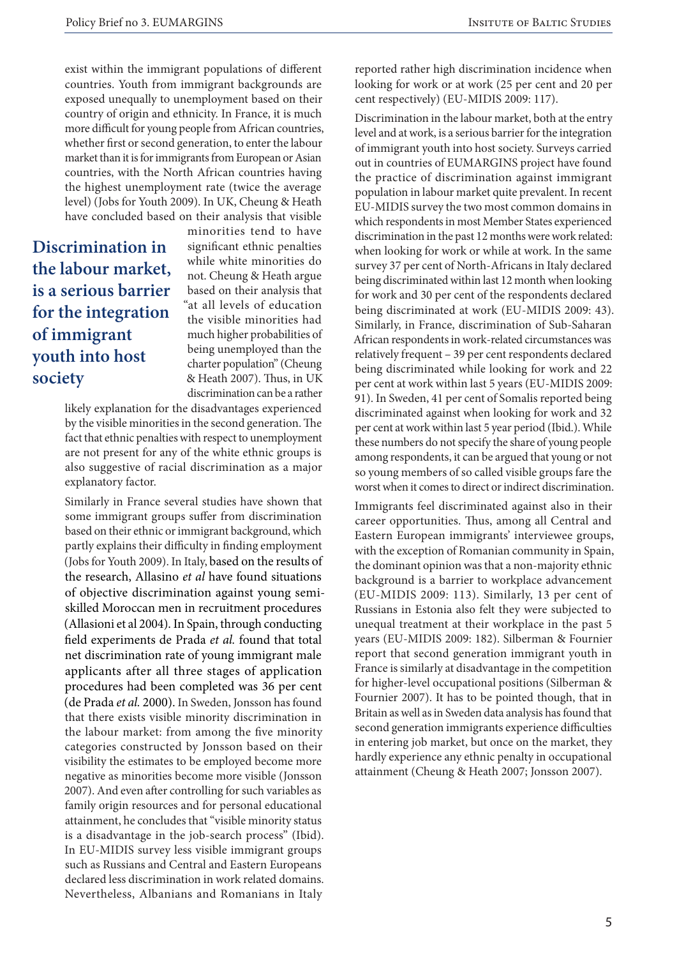exist within the immigrant populations of different countries. Youth from immigrant backgrounds are exposed unequally to unemployment based on their country of origin and ethnicity. In France, it is much more difficult for young people from African countries, whether first or second generation, to enter the labour market than it is for immigrants from European or Asian countries, with the North African countries having the highest unemployment rate (twice the average level) (Jobs for Youth 2009). In UK, Cheung & Heath have concluded based on their analysis that visible

# **Discrimination in the labour market, is a serious barrier for the integration of immigrant youth into host society**

minorities tend to have significant ethnic penalties while white minorities do not. Cheung & Heath argue based on their analysis that "at all levels of education the visible minorities had much higher probabilities of being unemployed than the charter population" (Cheung & Heath 2007). Thus, in UK discrimination can be a rather

likely explanation for the disadvantages experienced by the visible minorities in the second generation. The fact that ethnic penalties with respect to unemployment are not present for any of the white ethnic groups is also suggestive of racial discrimination as a major explanatory factor.

Similarly in France several studies have shown that some immigrant groups suffer from discrimination based on their ethnic or immigrant background, which partly explains their difficulty in finding employment (Jobs for Youth 2009). In Italy, based on the results of the research, Allasino *et al* have found situations of objective discrimination against young semiskilled Moroccan men in recruitment procedures (Allasioni et al 2004). In Spain, through conducting field experiments de Prada *et al.* found that total net discrimination rate of young immigrant male applicants after all three stages of application procedures had been completed was 36 per cent (de Prada *et al.* 2000). In Sweden, Jonsson has found that there exists visible minority discrimination in the labour market: from among the five minority categories constructed by Jonsson based on their visibility the estimates to be employed become more negative as minorities become more visible (Jonsson 2007). And even after controlling for such variables as family origin resources and for personal educational attainment, he concludes that "visible minority status is a disadvantage in the job-search process" (Ibid). In EU-MIDIS survey less visible immigrant groups such as Russians and Central and Eastern Europeans declared less discrimination in work related domains. Nevertheless, Albanians and Romanians in Italy reported rather high discrimination incidence when looking for work or at work (25 per cent and 20 per cent respectively) (EU-MIDIS 2009: 117).

Discrimination in the labour market, both at the entry level and at work, is a serious barrier for the integration of immigrant youth into host society. Surveys carried out in countries of EUMARGINS project have found the practice of discrimination against immigrant population in labour market quite prevalent. In recent EU-MIDIS survey the two most common domains in which respondents in most Member States experienced discrimination in the past 12 months were work related: when looking for work or while at work. In the same survey 37 per cent of North-Africans in Italy declared being discriminated within last 12 month when looking for work and 30 per cent of the respondents declared being discriminated at work (EU-MIDIS 2009: 43). Similarly, in France, discrimination of Sub-Saharan African respondents in work-related circumstances was relatively frequent – 39 per cent respondents declared being discriminated while looking for work and 22 per cent at work within last 5 years (EU-MIDIS 2009: 91). In Sweden, 41 per cent of Somalis reported being discriminated against when looking for work and 32 per cent at work within last 5 year period (Ibid.). While these numbers do not specify the share of young people among respondents, it can be argued that young or not so young members of so called visible groups fare the worst when it comes to direct or indirect discrimination.

Immigrants feel discriminated against also in their career opportunities. Thus, among all Central and Eastern European immigrants' interviewee groups, with the exception of Romanian community in Spain, the dominant opinion was that a non-majority ethnic background is a barrier to workplace advancement (EU-MIDIS 2009: 113). Similarly, 13 per cent of Russians in Estonia also felt they were subjected to unequal treatment at their workplace in the past 5 years (EU-MIDIS 2009: 182). Silberman & Fournier report that second generation immigrant youth in France is similarly at disadvantage in the competition for higher-level occupational positions (Silberman & Fournier 2007). It has to be pointed though, that in Britain as well as in Sweden data analysis has found that second generation immigrants experience difficulties in entering job market, but once on the market, they hardly experience any ethnic penalty in occupational attainment (Cheung & Heath 2007; Jonsson 2007).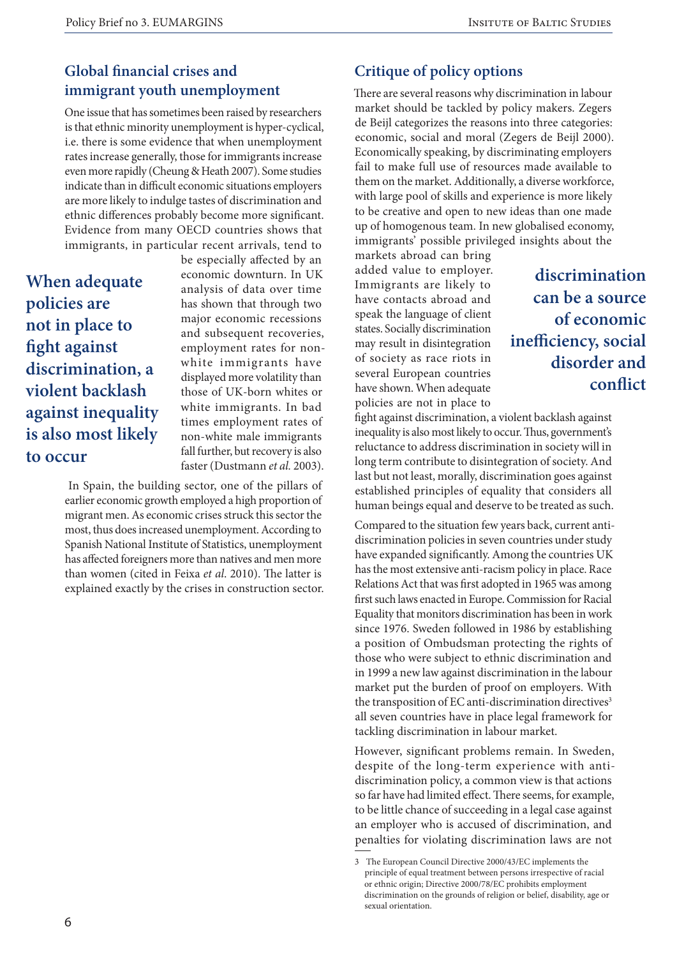# **Global financial crises and immigrant youth unemployment**

One issue that has sometimes been raised by researchers is that ethnic minority unemployment is hyper-cyclical, i.e. there is some evidence that when unemployment rates increase generally, those for immigrants increase even more rapidly (Cheung & Heath 2007). Some studies indicate than in difficult economic situations employers are more likely to indulge tastes of discrimination and ethnic differences probably become more significant. Evidence from many OECD countries shows that immigrants, in particular recent arrivals, tend to

**When adequate policies are not in place to fight against discrimination, a violent backlash against inequality is also most likely to occur**

be especially affected by an economic downturn. In UK analysis of data over time has shown that through two major economic recessions and subsequent recoveries, employment rates for nonwhite immigrants have displayed more volatility than those of UK-born whites or white immigrants. In bad times employment rates of non-white male immigrants fall further, but recovery is also faster (Dustmann *et al.* 2003).

 In Spain, the building sector, one of the pillars of earlier economic growth employed a high proportion of migrant men. As economic crises struck this sector the most, thus does increased unemployment. According to Spanish National Institute of Statistics, unemployment has affected foreigners more than natives and men more than women (cited in Feixa *et al*. 2010). The latter is explained exactly by the crises in construction sector.

### **Critique of policy options**

There are several reasons why discrimination in labour market should be tackled by policy makers. Zegers de Beijl categorizes the reasons into three categories: economic, social and moral (Zegers de Beijl 2000). Economically speaking, by discriminating employers fail to make full use of resources made available to them on the market. Additionally, a diverse workforce, with large pool of skills and experience is more likely to be creative and open to new ideas than one made up of homogenous team. In new globalised economy, immigrants' possible privileged insights about the

markets abroad can bring added value to employer. Immigrants are likely to have contacts abroad and speak the language of client states. Socially discrimination may result in disintegration of society as race riots in several European countries have shown. When adequate policies are not in place to

**discrimination can be a source of economic inefficiency, social disorder and conflict**

fight against discrimination, a violent backlash against inequality is also most likely to occur. Thus, government's reluctance to address discrimination in society will in long term contribute to disintegration of society. And last but not least, morally, discrimination goes against established principles of equality that considers all human beings equal and deserve to be treated as such.

Compared to the situation few years back, current antidiscrimination policies in seven countries under study have expanded significantly. Among the countries UK has the most extensive anti-racism policy in place. Race Relations Act that was first adopted in 1965 was among first such laws enacted in Europe. Commission for Racial Equality that monitors discrimination has been in work since 1976. Sweden followed in 1986 by establishing a position of Ombudsman protecting the rights of those who were subject to ethnic discrimination and in 1999 a new law against discrimination in the labour market put the burden of proof on employers. With the transposition of EC anti-discrimination directives<sup>3</sup> all seven countries have in place legal framework for tackling discrimination in labour market.

However, significant problems remain. In Sweden, despite of the long-term experience with antidiscrimination policy, a common view is that actions so far have had limited effect. There seems, for example, to be little chance of succeeding in a legal case against an employer who is accused of discrimination, and penalties for violating discrimination laws are not

<sup>3</sup> The European Council Directive 2000/43/EC implements the principle of equal treatment between persons irrespective of racial or ethnic origin; Directive 2000/78/EC prohibits employment discrimination on the grounds of religion or belief, disability, age or sexual orientation.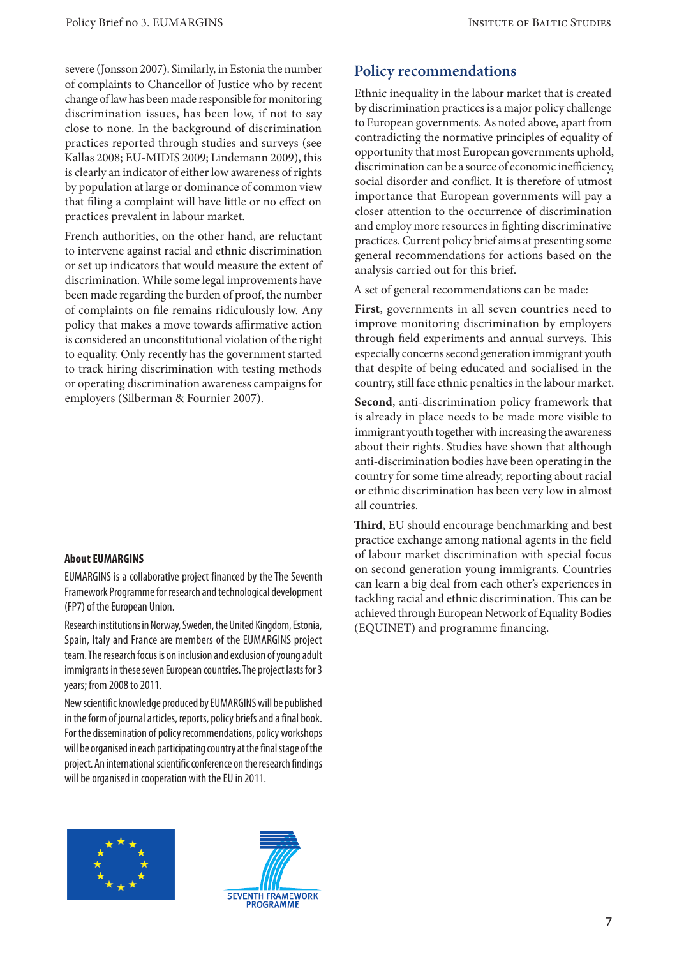severe (Jonsson 2007). Similarly, in Estonia the number of complaints to Chancellor of Justice who by recent change of law has been made responsible for monitoring discrimination issues, has been low, if not to say close to none. In the background of discrimination practices reported through studies and surveys (see Kallas 2008; EU-MIDIS 2009; Lindemann 2009), this is clearly an indicator of either low awareness of rights by population at large or dominance of common view that filing a complaint will have little or no effect on practices prevalent in labour market.

French authorities, on the other hand, are reluctant to intervene against racial and ethnic discrimination or set up indicators that would measure the extent of discrimination. While some legal improvements have been made regarding the burden of proof, the number of complaints on file remains ridiculously low. Any policy that makes a move towards affirmative action is considered an unconstitutional violation of the right to equality. Only recently has the government started to track hiring discrimination with testing methods or operating discrimination awareness campaigns for employers (Silberman & Fournier 2007).

#### **About EUMARGINS**

EUMARGINS is a collaborative project financed by the The Seventh Framework Programme for research and technological development (FP7) of the European Union.

Research institutions in Norway, Sweden, the United Kingdom, Estonia, Spain, Italy and France are members of the EUMARGINS project team. The research focus is on inclusion and exclusion of young adult immigrants in these seven European countries. The project lasts for 3 years; from 2008 to 2011.

New scientific knowledge produced by EUMARGINS will be published in the form of journal articles, reports, policy briefs and a final book. For the dissemination of policy recommendations, policy workshops will be organised in each participating country at the final stage of the project. An international scientific conference on the research findings will be organised in cooperation with the EU in 2011.





#### **Policy recommendations**

Ethnic inequality in the labour market that is created by discrimination practices is a major policy challenge to European governments. As noted above, apart from contradicting the normative principles of equality of opportunity that most European governments uphold, discrimination can be a source of economic inefficiency, social disorder and conflict. It is therefore of utmost importance that European governments will pay a closer attention to the occurrence of discrimination and employ more resources in fighting discriminative practices. Current policy brief aims at presenting some general recommendations for actions based on the analysis carried out for this brief.

A set of general recommendations can be made:

**First**, governments in all seven countries need to improve monitoring discrimination by employers through field experiments and annual surveys. This especially concerns second generation immigrant youth that despite of being educated and socialised in the country, still face ethnic penalties in the labour market.

**Second**, anti-discrimination policy framework that is already in place needs to be made more visible to immigrant youth together with increasing the awareness about their rights. Studies have shown that although anti-discrimination bodies have been operating in the country for some time already, reporting about racial or ethnic discrimination has been very low in almost all countries.

**Third**, EU should encourage benchmarking and best practice exchange among national agents in the field of labour market discrimination with special focus on second generation young immigrants. Countries can learn a big deal from each other's experiences in tackling racial and ethnic discrimination. This can be achieved through European Network of Equality Bodies (EQUINET) and programme financing.